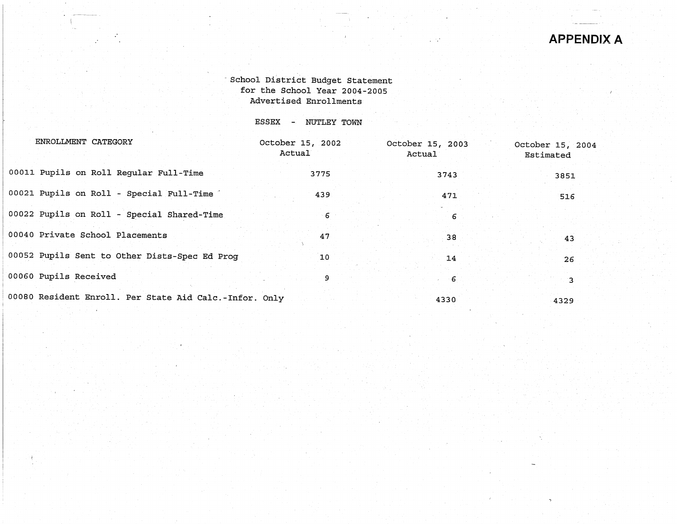# - School District Budget Statement for the School Year 2004-2005 Advertised Enrollments

ESSEX - NUTLEY TOWN

| ENROLLMENT CATEGORY                                    | October 15, 2002<br>Actual | October 15, 2003<br>Actual | October 15, 2004<br>Estimated |
|--------------------------------------------------------|----------------------------|----------------------------|-------------------------------|
| 00011 Pupils on Roll Regular Full-Time                 | 3775                       | 3743                       | 3851                          |
| 00021 Pupils on Roll - Special Full-Time               | 439                        | 471                        | 516                           |
| 00022 Pupils on Roll - Special Shared-Time             | 6                          | -6                         |                               |
| 00040 Private School Placements                        | 47                         | 38                         | 43                            |
| 00052 Pupils Sent to Other Dists-Spec Ed Prog          | 10                         | 14                         | 26                            |
| 00060 Pupils Received                                  | 9                          | - 6                        |                               |
| 00080 Resident Enroll. Per State Aid Calc.-Infor. Only |                            | 4330                       | 4329                          |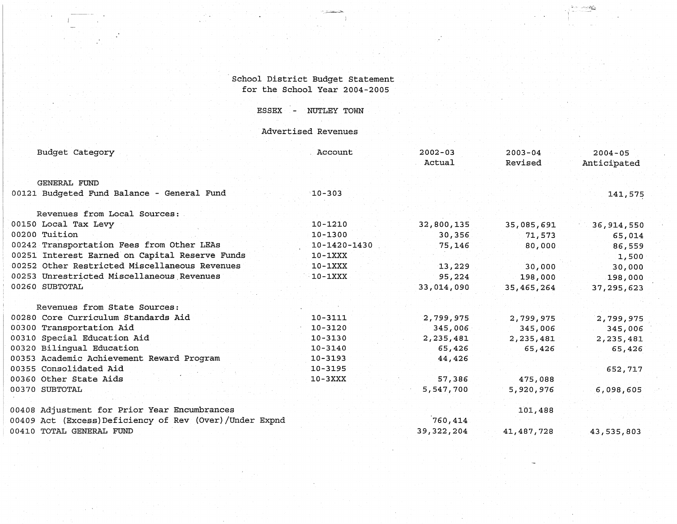# School District Budget Statement for the School Year 2004-2005

,-\_...=--=-,:.;::,

·1

 $r_{\rm c}$  is a second form  $r_{\rm c}$ 

ESSEX - NUTLEY TOWN

Advertised Revenues

| Budget Category                                        | Account            | $2002 - 03$<br>Actual | $2003 - 04$<br>Revised | $2004 - 05$<br>Anticipated |
|--------------------------------------------------------|--------------------|-----------------------|------------------------|----------------------------|
| GENERAL FUND                                           |                    |                       |                        |                            |
| 00121 Budgeted Fund Balance - General Fund             | $10 - 303$         |                       |                        | 141,575                    |
| Revenues from Local Sources:                           |                    |                       |                        |                            |
| 00150 Local Tax Levy                                   | $10 - 1210$        | 32,800,135            | 35,085,691             | 36,914,550                 |
| 00200 Tuition                                          | $10 - 1300$        | 30,356                | 71,573                 | 65,014                     |
| 00242 Transportation Fees from Other LEAs              | $10 - 1420 - 1430$ | 75,146                | 80,000                 | 86,559                     |
| 00251 Interest Earned on Capital Reserve Funds         | $10-1XXX$          |                       |                        | 1,500                      |
| 00252 Other Restricted Miscellaneous Revenues          | $10-1XXX$          | 13,229                | 30,000                 | 30,000                     |
| 00253 Unrestricted Miscellaneous Revenues              | $10-1XXX$          | 95,224                | 198,000                | 198,000                    |
| 00260 SUBTOTAL                                         |                    | 33,014,090            | 35,465,264             | 37, 295, 623               |
| Revenues from State Sources:                           |                    |                       |                        |                            |
| 00280 Core Curriculum Standards Aid                    | 10-3111            | 2,799,975             | 2,799,975              | 2,799,975                  |
| 00300 Transportation Aid                               | $10 - 3120$        | 345,006               | 345,006                | 345,006                    |
| 00310 Special Education Aid                            | 10-3130            | 2,235,481             | 2, 235, 481            | 2,235,481                  |
| 00320 Bilingual Education                              | 10-3140            | 65,426                | 65,426                 | 65,426                     |
| 00353 Academic Achievement Reward Program              | 10-3193            | 44,426                |                        |                            |
| 00355 Consolidated Aid                                 | $10 - 3195$        |                       |                        | 652,717                    |
| 00360 Other State Aids                                 | $10-3XXX$          | 57,386                | 475,088                |                            |
| 00370 SUBTOTAL                                         |                    | 5,547,700             | 5,920,976              | 6,098,605                  |
| 00408 Adjustment for Prior Year Encumbrances           |                    |                       | 101,488                |                            |
| 00409 Act (Excess)Deficiency of Rev (Over)/Under Expnd |                    | 760,414               |                        |                            |
| 00410 TOTAL GENERAL FUND                               |                    | 39,322,204            | 41,487,728             | 43,535,803                 |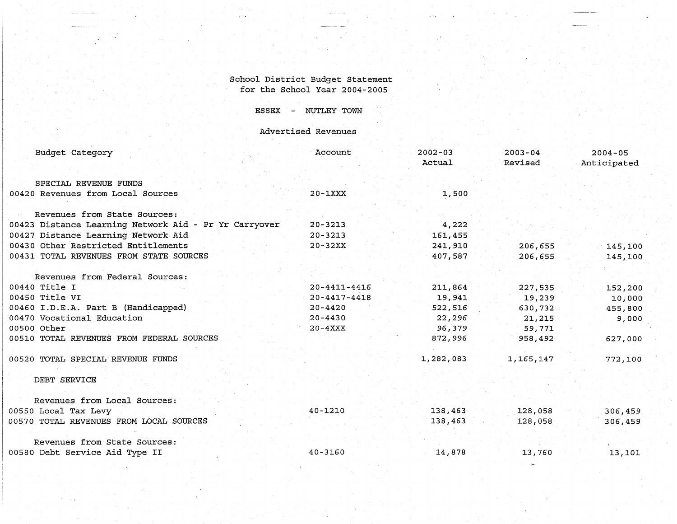#### School District Budget Statement for the School Year 2004-2005

# ESSEX - NUTLEY TOWN

# Advertised Revenues

| Budget Category                                       | Account            | $2002 - 03$<br>Actual | $2003 - 04$<br>Revised | $2004 - 05$<br>Anticipated |
|-------------------------------------------------------|--------------------|-----------------------|------------------------|----------------------------|
| SPECIAL REVENUE FUNDS                                 |                    |                       |                        |                            |
| 00420 Revenues from Local Sources                     | $20 - 1XXX$        | 1,500                 |                        |                            |
| Revenues from State Sources:                          |                    |                       |                        |                            |
| 00423 Distance Learning Network Aid - Pr Yr Carryover | $20 - 3213$        | 4,222                 |                        |                            |
| 00427 Distance Learning Network Aid                   | $20 - 3213$        | 161,455               |                        |                            |
| 00430 Other Restricted Entitlements                   | $20 - 32XX$        | 241,910               | 206,655                | 145,100                    |
| 00431 TOTAL REVENUES FROM STATE SOURCES               |                    | 407,587               | 206,655                | 145,100                    |
| Revenues from Federal Sources:                        |                    |                       |                        |                            |
| 00440 Title I                                         | $20 - 4411 - 4416$ | 211,864               | 227,535                | 152,200                    |
| 00450 Title VI                                        | $20 - 4417 - 4418$ | 19,941                | 19,239                 | 10,000                     |
| 00460 I.D.E.A. Part B (Handicapped)                   | $20 - 4420$        | 522,516               | 630,732                | 455,800                    |
| 00470 Vocational Education                            | $20 - 4430$        | 22,296                | 21,215                 | 9,000                      |
| 00500 Other                                           | $20 - 4XXX$        | 96,379                | 59,771                 |                            |
| 00510 TOTAL REVENUES FROM FEDERAL SOURCES             |                    | 872,996               | 958,492                | 627,000                    |
| 00520 TOTAL SPECIAL REVENUE FUNDS                     |                    | 1,282,083             | 1,165,147              | 772,100                    |
| DEBT SERVICE                                          |                    |                       |                        |                            |
| Revenues from Local Sources:                          |                    |                       |                        |                            |
| 00550 Local Tax Levy                                  | $40 - 1210$        | 138,463               | 128,058                | 306,459                    |
| 00570 TOTAL REVENUES FROM LOCAL SOURCES               |                    | 138,463               | 128,058                | 306,459                    |
| Revenues from State Sources:                          |                    |                       |                        |                            |
| 00580 Debt Service Aid Type II                        | 40-3160            | 14,878                | 13,760                 | 13,101                     |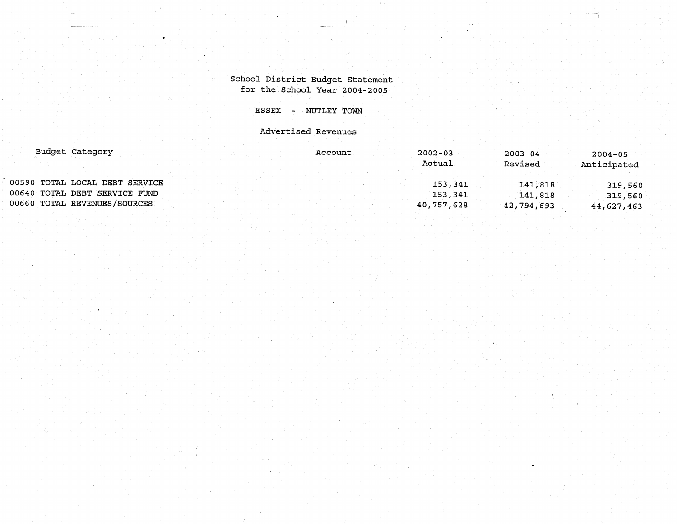# School District Budget Statement for the School Year 2004-2005

ESSEX - NUTLEY TOWN

Advertised Revenues

| Budget Category                |  | Account | $2002 - 03$ | $2003 - 04$ | $2004 - 05$ |
|--------------------------------|--|---------|-------------|-------------|-------------|
|                                |  |         | Actual      | Revised     | Anticipated |
| 00590 TOTAL LOCAL DEBT SERVICE |  |         | 153,341     | 141,818     | 319,560     |
| 00640 TOTAL DEBT SERVICE FUND  |  |         | 153,341     | 141,818     | 319,560     |
| 00660 TOTAL REVENUES/SOURCES   |  |         | 40,757,628  | 42,794,693  | 44,627,463  |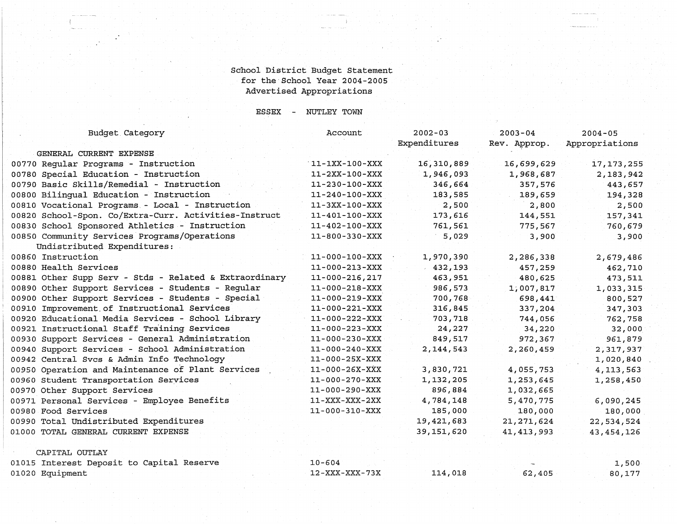#### School District Budget Statement for the·School Year 2004-2005 Advertised Appropriations

ESSEX NUTLEY TOWN

Account

Budget Category

| Budget Category                                        | Account                | $2002 - 03$<br>Expenditures | $2003 - 04$<br>Rev. Approp. | $2004 - 05$<br>Appropriations |
|--------------------------------------------------------|------------------------|-----------------------------|-----------------------------|-------------------------------|
| GENERAL CURRENT EXPENSE                                |                        |                             |                             |                               |
| 00770 Regular Programs - Instruction                   | $11 - 1XX - 100 - XXX$ | 16,310,889                  | 16,699,629                  | 17, 173, 255                  |
| 00780 Special Education - Instruction                  | $11-2XX-100-XXX$       | 1,946,093                   | 1,968,687                   | 2,183,942                     |
| 00790 Basic Skills/Remedial - Instruction              | $11 - 230 - 100 - XXX$ | 346,664                     | 357,576                     | 443,657                       |
| 00800 Bilinqual Education - Instruction                | $11 - 240 - 100 - XXX$ | 183,585                     | 189,659                     | 194,328                       |
| 00810 Vocational Programs - Local - Instruction        | 11-3XX-100-XXX         | 2,500                       | 2,800                       | 2,500                         |
| 00820 School-Spon. Co/Extra-Curr. Activities-Instruct  | $11 - 401 - 100 - XXX$ | 173,616                     | 144,551                     | 157,341                       |
| 00830 School Sponsored Athletics - Instruction         | $11 - 402 - 100 - XXX$ | 761,561                     | 775,567                     | 760,679                       |
| 00850 Community Services Programs/Operations           | $11 - 800 - 330 - XXX$ | 5,029                       | 3,900                       | 3,900                         |
| Undistributed Expenditures:                            |                        |                             |                             |                               |
| 00860 Instruction                                      | $11 - 000 - 100 - XXX$ | 1,970,390                   | 2,286,338                   | 2,679,486                     |
| 00880 Health Services                                  | $11 - 000 - 213 - XXX$ | 432,193                     | 457,259                     | 462,710                       |
| 00881 Other Supp Serv - Stds - Related & Extraordinary | $11 - 000 - 216, 217$  | 463,951                     | 480,625                     | 473,511                       |
| 00890 Other Support Services - Students - Regular      | $11 - 000 - 218 - XXX$ | 986,573                     | 1,007,817                   | 1,033,315                     |
| 00900 Other Support Services - Students - Special      | $11 - 000 - 219 - XXX$ | 700,768                     | 698,441                     | 800,527                       |
| 00910 Improvement of Instructional Services            | $11 - 000 - 221 - XXX$ | 316,845                     | 337,204                     | 347,303                       |
| 00920 Educational Media Services - School Library      | $11 - 000 - 222 - XXX$ | 703,718                     | 744,056                     | 762,758                       |
| 00921 Instructional Staff Training Services            | 11-000-223-XXX         | 24,227                      | 34,220                      | 32,000                        |
| 00930 Support Services - General Administration        | $11 - 000 - 230 - XXX$ | 849,517                     | 972,367                     | 961,879                       |
| 00940 Support Services - School Administration         | 11-000-240-XXX         | 2,144,543                   | 2,260,459                   | 2,317,937                     |
| 00942 Central Svcs & Admin Info Technology             | 11-000-25X-XXX         |                             |                             | 1,020,840                     |
| 00950 Operation and Maintenance of Plant Services      | 11-000-26X-XXX         | 3,830,721                   | 4,055,753                   | 4,113,563                     |
| 00960 Student Transportation Services                  | $11 - 000 - 270 - XXX$ | 1,132,205                   | 1,253,645                   | 1,258,450                     |
| 00970 Other Support Services                           | 11-000-290-XXX         | 896,884                     | 1,032,665                   |                               |
| 00971 Personal Services - Employee Benefits            | $11 - XXX - XXX - 2XX$ | 4,784,148                   | 5,470,775                   | 6,090,245                     |
| 00980 Food Services                                    | 11-000-310-XXX         | 185,000                     | 180,000                     | 180,000                       |
| 00990 Total Undistributed Expenditures                 |                        | 19,421,683                  | 21, 271, 624                | 22,534,524                    |
| 01000 TOTAL GENERAL CURRENT EXPENSE                    |                        | 39,151,620                  | 41, 413, 993                | 43, 454, 126                  |
| CAPITAL OUTLAY                                         |                        |                             |                             |                               |
| 01015 Interest Deposit to Capital Reserve              | $10 - 604$             |                             |                             | 1,500                         |
|                                                        |                        |                             |                             |                               |

80,177

01015 Interest Deposit to Capital Reserve 01020 Equipment 10-604 12-XXX-XXX-73X 114,018 62,405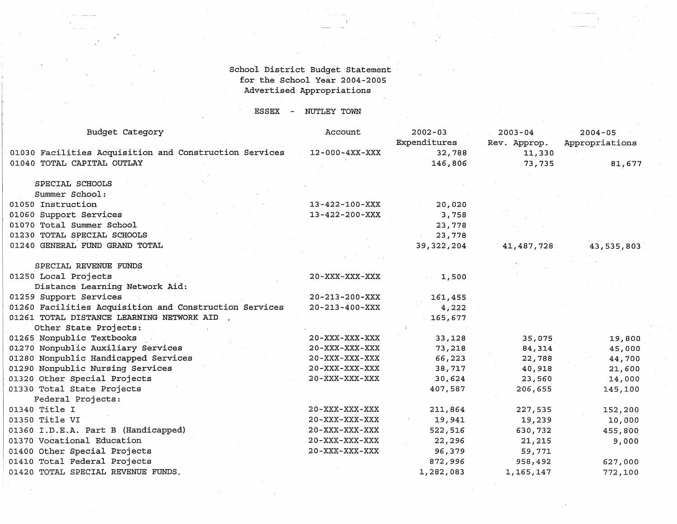#### School District Budget Statement for the School Year 2004-2005 Advertised Appropriations

ESSEX NUTLEY TOWN

| Budget Category                                        | Account                | $2002 - 03$<br>Expenditures | $2003 - 04$<br>Rev. Approp. | $2004 - 05$<br>Appropriations |
|--------------------------------------------------------|------------------------|-----------------------------|-----------------------------|-------------------------------|
| 01030 Facilities Acquisition and Construction Services | $12-000-4XX-XXX$       | 32,788                      | 11,330                      |                               |
| 01040 TOTAL CAPITAL OUTLAY                             |                        | 146,806                     | 73,735                      | 81,677                        |
| SPECIAL SCHOOLS                                        |                        |                             |                             |                               |
| Summer School:                                         |                        |                             |                             |                               |
| 01050 Instruction                                      | $13 - 422 - 100 - XXX$ | 20,020                      |                             |                               |
| 01060 Support Services                                 | $13 - 422 - 200 - XXX$ | 3,758                       |                             |                               |
| 01070 Total Summer School                              |                        | 23,778                      |                             |                               |
| 01230 TOTAL SPECIAL SCHOOLS                            |                        | 23,778                      |                             |                               |
| 01240 GENERAL FUND GRAND TOTAL                         |                        | 39, 322, 204                | 41,487,728                  | 43,535,803                    |
| SPECIAL REVENUE FUNDS                                  |                        |                             |                             |                               |
| 01250 Local Projects                                   | $20 - XXX - XXX - XXX$ | 1,500                       |                             |                               |
| Distance Learning Network Aid:                         |                        |                             |                             |                               |
| 01259 Support Services                                 | $20 - 213 - 200 - XXX$ | 161,455                     |                             |                               |
| 01260 Facilities Acquisition and Construction Services | $20 - 213 - 400 - XXX$ | 4,222                       |                             |                               |
| 01261 TOTAL DISTANCE LEARNING NETWORK AID              |                        | 165,677                     |                             |                               |
| Other State Projects:                                  |                        |                             |                             |                               |
| 01265 Nonpublic Textbooks                              | $20 - XXX - XXX - XXX$ | 33,128                      | 35,075                      | 19,800                        |
| 01270 Nonpublic Auxiliary Services                     | $20 - XXX - XXX - XXX$ | 73,218                      | 84,314                      | 45,000                        |
| 01280 Nonpublic Handicapped Services                   | $20 - XXX - XXX - XXX$ | 66,223                      | 22,788                      | 44,700                        |
| 01290 Nonpublic Nursing Services                       | $20 - XXX - XXX - XXX$ | 38,717                      | 40,918                      | 21,600                        |
| 01320 Other Special Projects                           | $20 - XXX - XXX - XXX$ | 30,624                      | 23,560                      | 14,000                        |
| 01330 Total State Projects                             |                        | 407,587                     | 206,655                     | 145,100                       |
| Federal Projects:                                      |                        |                             |                             |                               |
| 01340 Title I                                          | $20 - XXX - XXX - XXX$ | 211,864                     | 227,535                     | 152,200                       |
| 01350 Title VI                                         | $20 - XXX - XXX - XXX$ | 19,941                      | 19,239                      | 10,000                        |
| 01360 I.D.E.A. Part B (Handicapped)                    | $20 - XXX - XXX - XXX$ | 522,516                     | 630,732                     | 455,800                       |
| 01370 Vocational Education                             | $20 - XXX - XXX - XXX$ | 22,296                      | 21, 215                     | 9,000                         |
| 01400 Other Special Projects                           | $20 - XXX - XXX - XXX$ | 96,379                      | 59,771                      |                               |
| 01410 Total Federal Projects                           |                        | 872,996                     | 958,492                     | 627,000                       |
| 01420 TOTAL SPECIAL REVENUE FUNDS.                     |                        | 1,282,083                   | 1,165,147                   | 772,100                       |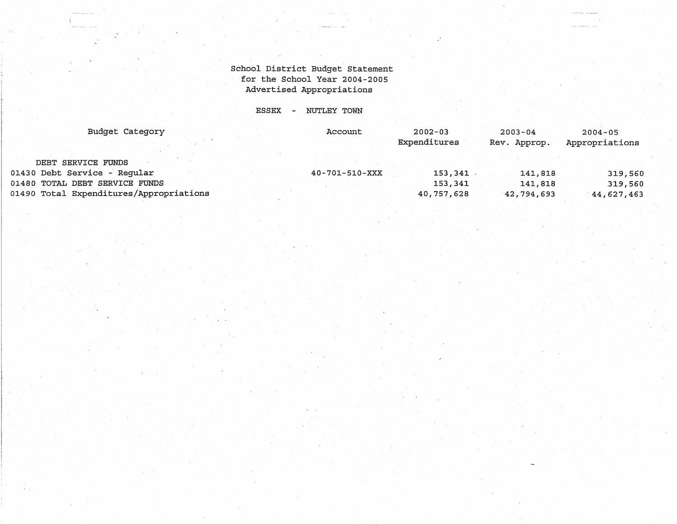# School District Budget statement for the School Year 2004-2005 Advertised Appropriations

ESSEX - NUTLEY TOWN

| Budget Category                         | Account        | $2002 - 03$  | $2003 - 04$  | $2004 - 05$    |
|-----------------------------------------|----------------|--------------|--------------|----------------|
|                                         |                | Expenditures | Rev. Approp. | Appropriations |
| DEBT SERVICE FUNDS                      |                |              |              |                |
| 01430 Debt Service - Regular            | 40-701-510-XXX | 153,341      | 141,818      | 319,560        |
| 01480 TOTAL DEBT SERVICE FUNDS          |                | 153,341      | 141,818      | 319,560        |
| 01490 Total Expenditures/Appropriations |                | 40,757,628   | 42,794,693   | 44,627,463     |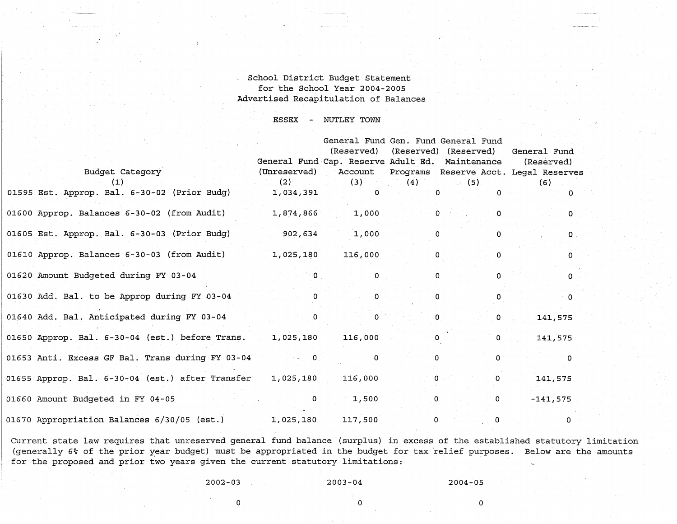#### School District Budget Statement for the School Year 2004-2005 Advertised Recapitulation of Balances

**ESSEX - NUTLEY TOWN** 

|                                                               | General Fund Cap. Reserve Adult Ed. Maintenance | General Fund Gen. Fund General Fund<br>(Reserved) (Reserved) (Reserved) |                |                |                 | General Fund<br>(Reserved)                    |
|---------------------------------------------------------------|-------------------------------------------------|-------------------------------------------------------------------------|----------------|----------------|-----------------|-----------------------------------------------|
| Budget Category                                               | (Unreserved)                                    |                                                                         |                |                |                 | Account Programs Reserve Acct. Legal Reserves |
|                                                               |                                                 | $(2)$ (b) and $(3)$ and $(4)$ and $(5)$ and $(7)$                       |                |                |                 | (6)                                           |
| 01595 Est. Approp. Bal. 6-30-02 (Prior Budg)                  | 1,034,391                                       | $\Omega$                                                                |                | $\mathbf{0}$ . | $\Omega$        | $\Omega$                                      |
| 01600 Approp. Balances 6-30-02 (from Audit)                   | 1,874,866                                       | 1,000                                                                   | $\Omega$       |                | $\Omega$        | $\Omega$                                      |
| 01605 Est. Approp. Bal. 6-30-03 (Prior Budg) 902,634          |                                                 | 1,000                                                                   |                |                | $\overline{0}$  | $\cdot$ O                                     |
| 01610 Approp. Balances 6-30-03 (from Audit) 1,025,180 116,000 |                                                 |                                                                         | $\overline{0}$ |                | $\overline{0}$  | $\Omega$                                      |
| 01620 Amount Budgeted during FY 03-04                         | $\mathbf{0}$                                    | $\mathbf 0$                                                             | $\Omega$       |                | $\Omega$ .      | ு⊙                                            |
| 01630 Add. Bal. to be Approp during FY 03-04                  |                                                 | .٥                                                                      | $\Omega$       |                | 0               | $\sim$ 0.                                     |
| 01640 Add. Bal. Anticipated during FY 03-04                   | $\Omega$                                        | $\Omega$                                                                | $\mathbf{0}$   |                | $\mathbf{0}$    | 141,575                                       |
| 01650 Approp. Bal. 6-30-04 (est.) before Trans. 1,025,180     |                                                 | 116,000                                                                 | $\Omega$       |                | $0 \leq \alpha$ | 141,575                                       |
| 01653 Anti. Excess GF Bal. Trans during FY 03-04              |                                                 | 0                                                                       | $\Omega$       |                | 0               |                                               |
| 01655 Approp. Bal. 6-30-04 (est.) after Transfer 1,025,180    |                                                 | 116,000                                                                 |                | $0<\infty$     | $\Omega$        | 141,575                                       |
| 01660 Amount Budgeted in FY 04-05                             | $\mathbf{O}$                                    | 1,500                                                                   |                | $\overline{0}$ |                 | $0<\infty$<br>$-141,575$                      |
| 01670 Appropriation Balances 6/30/05 (est.) 1,025,180         |                                                 | 117,500                                                                 | $\mathbf{0}$   |                | $\mathbf{O}$    | 0                                             |

Current state law requires that unreserved general fund balance (surplus) in excess of the established statutory limitation (generally 6% of the prior year budget) must be appropriated in the budget for tax relief purposes. Below are the amounts for the proposed and prior two years given the current statutory limitations:

2002-03 2003-04 2004-05

 $\overline{0}$  and  $\overline{0}$  and  $\overline{0}$  and  $\overline{0}$  and  $\overline{0}$  and  $\overline{0}$  and  $\overline{0}$  and  $\overline{0}$  and  $\overline{0}$  and  $\overline{0}$  and  $\overline{0}$  and  $\overline{0}$  and  $\overline{0}$  and  $\overline{0}$  and  $\overline{0}$  and  $\overline{0}$  and  $\overline{0}$  and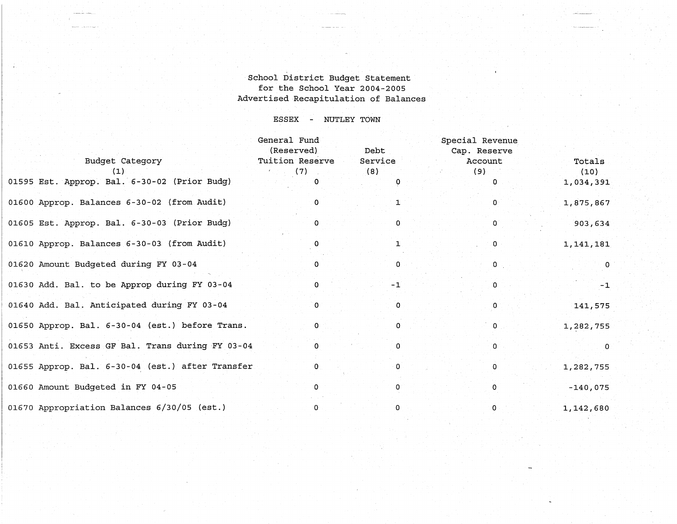# School District Budget Statement for the School Year 2004-2005 Advertised Recapitulation of Balances

#### ESSEX NUTLEY TOWN

|                                                  | General Fund<br>(Reserved) | Debt    | Special Revenue<br>Cap. Reserve |             |
|--------------------------------------------------|----------------------------|---------|---------------------------------|-------------|
| Budget Category                                  | Tuition Reserve            | Service | Account                         | Totals      |
| (1)                                              | (7)                        | (8)     | (9)                             | (10)        |
| 01595 Est. Approp. Bal. 6-30-02 (Prior Budg)     |                            |         | 0                               | 1,034,391   |
| 01600 Approp. Balances 6-30-02 (from Audit)      | 0                          |         | $\mathbf{O}$                    | 1,875,867   |
| 01605 Est. Approp. Bal. 6-30-03 (Prior Budg)     | 0                          | 0.      | $\mathbf{0}$                    | 903,634     |
| 01610 Approp. Balances 6-30-03 (from Audit)      |                            |         | 0                               | 1, 141, 181 |
| 01620 Amount Budgeted during FY 03-04            | 0                          | O.      | $\mathbf{0}$                    | $\mathbf 0$ |
| 01630 Add. Bal. to be Approp during FY 03-04     | 0                          | $-1$    | O.                              | $-1$        |
| 01640 Add. Bal. Anticipated during FY 03-04      | 0                          | 0       | 0                               | 141,575     |
| 01650 Approp. Bal. 6-30-04 (est.) before Trans.  | 0                          | 0       | 0                               | 1,282,755   |
| 01653 Anti. Excess GF Bal. Trans during FY 03-04 | 0                          | 0       | 0                               | $\Omega$    |
| 01655 Approp. Bal. 6-30-04 (est.) after Transfer | 0                          | 0       | 0                               | 1,282,755   |
| 01660 Amount Budgeted in FY 04-05                | n.                         | 0       | 0                               | $-140,075$  |
| 01670 Appropriation Balances 6/30/05 (est.)      | 0                          | 0       | $\Omega$                        | 1,142,680   |